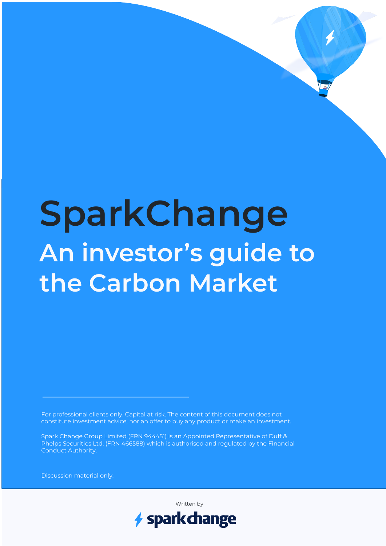# **SparkChange An investor's guide to the Carbon Market**

For professional clients only. Capital at risk. The content of this document does not constitute investment advice, nor an offer to buy any product or make an investment.

Spark Change Group Limited (FRN 944451) is an Appointed Representative of Duff & Phelps Securities Ltd. (FRN 466588) which is authorised and regulated by the Financial Conduct Authority.

Discussion material only.

Written by

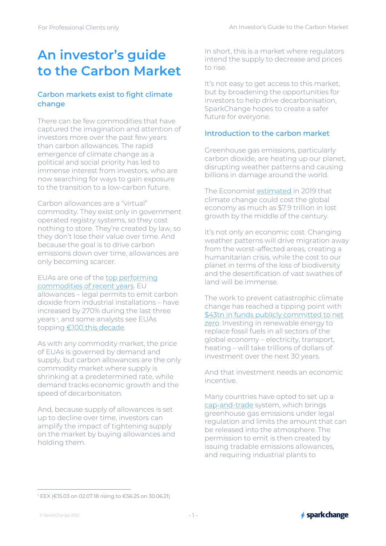# **An investor's guide to the Carbon Market**

# Carbon markets exist to fight climate change

There can be few commodities that have captured the imagination and attention of investors more over the past few years than carbon allowances. The rapid emergence of climate change as a political and social priority has led to immense interest from investors, who are now searching for ways to gain exposure to the transition to a low-carbon future.

Carbon allowances are a "virtual" commodity. They exist only in government operated registry systems, so they cost nothing to store. They're created by law, so they don't lose their value over time. And because the goal is to drive carbon emissions down over time, allowances are only becoming scarcer.

EUAs are one of the top performing commodities of recent years. EU allowances – legal permits to emit carbon dioxide from industrial installations – have increased by 270% during the last three years <sup>1</sup> , and some analysts see EUAs topping €100 this decade.

As with any commodity market, the price of EUAs is governed by demand and supply, but carbon allowances are the only commodity market where supply is shrinking at a predetermined rate, while demand tracks economic growth and the speed of decarbonisaton.

And, because supply of allowances is set up to decline over time, investors can amplify the impact of tightening supply on the market by buying allowances and holding them.

In short, this is a market where regulators intend the supply to decrease and prices to rise.

It's not easy to get access to this market. but by broadening the opportunities for investors to help drive decarbonisation, SparkChange hopes to create a safer future for everyone.

## Introduction to the carbon market

Greenhouse gas emissions, particularly carbon dioxide, are heating up our planet, disrupting weather patterns and causing billions in damage around the world.

The Economist estimated in 2019 that climate change could cost the global economy as much as \$7.9 trillion in lost growth by the middle of the century.

It's not only an economic cost. Changing weather patterns will drive migration away from the worst-affected areas, creating a humanitarian crisis, while the cost to our planet in terms of the loss of biodiversity and the desertification of vast swathes of land will be immense.

The work to prevent catastrophic climate change has reached a tipping point with \$43tn in funds publicly committed to net zero. Investing in renewable energy to replace fossil fuels in all sectors of the global economy – electricity, transport, heating – will take trillions of dollars of investment over the next 30 years.

And that investment needs an economic incentive.

Many countries have opted to set up a cap-and-trade system, which brings greenhouse gas emissions under legal regulation and limits the amount that can be released into the atmosphere. The permission to emit is then created by issuing tradable emissions allowances, and requiring industrial plants to

<sup>1</sup> EEX (€15.03 on 02.07.18 rising to €56.25 on 30.06.21)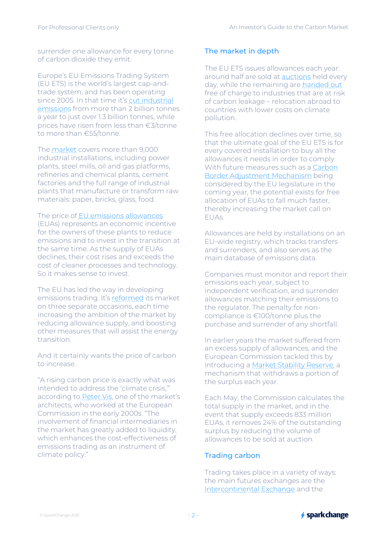surrender one allowance for every tonne of carbon dioxide they emit.

Europe's EU Emissions Trading System (EU ETS) is the world's largest cap-andtrade system, and has been operating since 2005. In that time it's cut industrial emissions from more than 2 billion tonnes a year to just over 1.3 billion tonnes, while prices have risen from less than €3/tonne to more than €55/tonne.

The market covers more than 9,000 industrial installations, including power plants, steel mills, oil and gas platforms, refineries and chemical plants, cement factories and the full range of industrial plants that manufacture or transform raw materials: paper, bricks, glass, food.

# The price of EU emissions allowances

(EUAs) represents an economic incentive for the owners of these plants to reduce emissions and to invest in the transition at the same time. As the supply of EUAs declines, their cost rises and exceeds the cost of cleaner processes and technology. So it makes sense to invest.

The EU has led the way in developing emissions trading. It's reformed its market on three separate occasions, each time increasing the ambition of the market by reducing allowance supply, and boosting other measures that will assist the energy transition.

And it certainly wants the price of carbon to increase.

"A rising carbon price is exactly what was intended to address the 'climate crisis,'" according to Peter Vis, one of the market's architects, who worked at the European Commission in the early 2000s. "The involvement of financial intermediaries in the market has greatly added to liquidity. which enhances the cost-effectiveness of emissions trading as an instrument of climate policy."

#### The market in depth

The EU ETS issues allowances each year: around half are sold at auctions held every day, while the remaining are handed out free of charge to industries that are at risk of carbon leakage – relocation abroad to countries with lower costs on climate pollution.

This free allocation declines over time, so that the ultimate goal of the EU ETS is for every covered installation to buy all the allowances it needs in order to comply. With future measures such as a Carbon Border Adjustment Mechanism being considered by the EU legislature in the coming year, the potential exists for free allocation of EUAs to fall much faster, thereby increasing the market call on EUAs.

Allowances are held by installations on an EU-wide registry, which tracks transfers and surrenders, and also serves as the main database of emissions data.

Companies must monitor and report their emissions each year, subject to independent verification, and surrender allowances matching their emissions to the regulator. The penalty for noncompliance is €100/tonne plus the purchase and surrender of any shortfall.

In earlier years the market suffered from an excess supply of allowances, and the European Commission tackled this by introducing a Market Stability Reserve, a mechanism that withdraws a portion of the surplus each year.

Each May, the Commission calculates the total supply in the market, and in the event that supply exceeds 833 million EUAs, it removes 24% of the outstanding surplus by reducing the volume of allowances to be sold at auction.

#### Trading carbon

Trading takes place in a variety of ways: the main futures exchanges are the Intercontinental Exchange and the

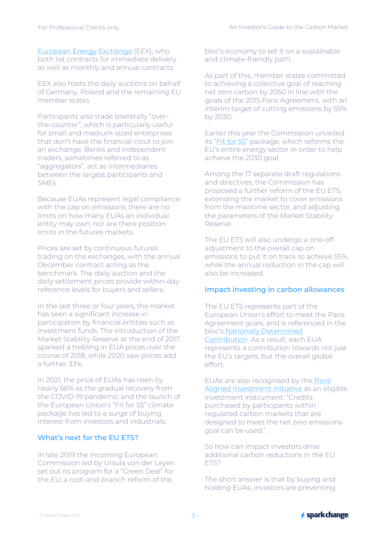European Energy Exchange (EEX), who both list contracts for immediate delivery as well as monthly and annual contracts.

EEX also hosts the daily auctions on behalf of Germany, Poland and the remaining EU member states.

Participants also trade bilaterally "overthe-counter", which is particularly useful for small and medium-sized enterprises that don't have the financial clout to join an exchange. Banks and independent traders, sometimes referred to as "aggregators", act as intermediaries between the largest participants and SMEs.

Because EUAs represent legal compliance with the cap on emissions, there are no limits on how many EUAs an individual entity may own, nor are there position limits in the futures markets.

Prices are set by continuous futures trading on the exchanges, with the annual December contract acting as the benchmark. The daily auction and the daily settlement prices provide within-day reference levels for buyers and sellers.

In the last three or four years, the market has seen a significant increase in participation by financial entities such as investment funds. The introduction of the Market Stability Reserve at the end of 2017 sparked a trebling in EUA prices over the course of 2018, while 2020 saw prices add a further 33%.

In 2021, the price of EUAs has risen by nearly 66% as the gradual recovery from the COVID-19 pandemic and the launch of the European Union's "Fit for 55" climate package has led to a surge of buying interest from investors and industrials.

# What's next for the EU ETS?

In late 2019 the incoming European Commission led by Ursula von der Leyen set out its program for a "Green Deal" for the EU; a root-and-branch reform of the

bloc's economy to set it on a sustainable and climate-friendly path.

As part of this, member states committed to achieving a collective goal of reaching net zero carbon by 2050 in line with the goals of the 2015 Paris Agreement, with an interim target of cutting emissions by 55% by 2030.

Earlier this year the Commission unveiled its "Fit for 55" package, which reforms the EU's entire energy sector in order to help achieve the 2030 goal.

Among the 17 separate draft regulations and directives, the Commission has proposed a further reform of the EU ETS, extending the market to cover emissions from the maritime sector, and adjusting the parameters of the Market Stability Reserve.

The EU ETS will also undergo a one-off adjustment to the overall cap on emissions to put it on track to achieve 55%, while the annual reduction in the cap will also be increased.

#### Impact investing in carbon allowances

The EU ETS represents part of the European Union's effort to meet the Paris Agreement goals, and is referenced in the bloc's Nationally Determined Contribution. As a result, each EUA represents a contribution towards not just the EU's targets, but the overall global effort.

EUAs are also recognised by the Paris Aligned Investment Initiative as an eligible investment instrument: "Credits purchased by participants within regulated carbon markets that are designed to meet the net zero emissions goal can be used.".

So how can impact investors drive additional carbon reductions in the EU ETS?

The short answer is that by buying and holding EUAs, investors are preventing

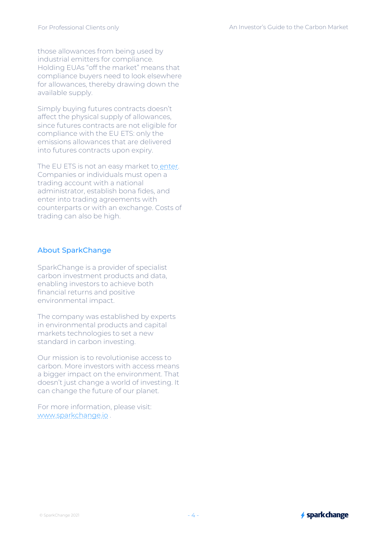those allowances from being used by industrial emitters for compliance. Holding EUAs "off the market" means that compliance buyers need to look elsewhere for allowances, thereby drawing down the available supply.

Simply buying futures contracts doesn't affect the physical supply of allowances, since futures contracts are not eligible for compliance with the EU ETS: only the emissions allowances that are delivered into futures contracts upon expiry.

The EU ETS is not an easy market to enter. Companies or individuals must open a trading account with a national administrator, establish bona fides, and enter into trading agreements with counterparts or with an exchange. Costs of trading can also be high.

# About SparkChange

SparkChange is a provider of specialist carbon investment products and data, enabling investors to achieve both financial returns and positive environmental impact.

The company was established by experts in environmental products and capital markets technologies to set a new standard in carbon investing.

Our mission is to revolutionise access to carbon. More investors with access means a bigger impact on the environment. That doesn't just change a world of investing. It can change the future of our planet.

For more information, please visit: www.sparkchange.io .